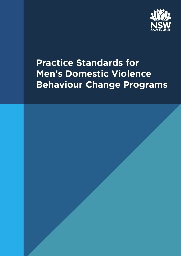

# **Practice Standards for Men's Domestic Violence Behaviour Change Programs**

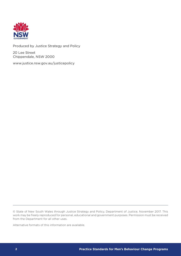

#### Produced by Justice Strategy and Policy

20 Lee Street Chippendale, NSW 2000

www.justice.nsw.gov.au/justicepolicy

© State of New South Wales through Justice Strategy and Policy, Department of Justice, November 2017. This work may be freely reproduced for personal, educational and government purposes. Permission must be received from the Department for all other uses.

Alternative formats of this information are available.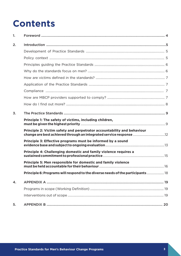# **Contents**

| 1. |                                                                                 |  |
|----|---------------------------------------------------------------------------------|--|
| 2. |                                                                                 |  |
|    |                                                                                 |  |
|    |                                                                                 |  |
|    |                                                                                 |  |
|    |                                                                                 |  |
|    |                                                                                 |  |
|    |                                                                                 |  |
|    |                                                                                 |  |
|    |                                                                                 |  |
|    |                                                                                 |  |
| 3. |                                                                                 |  |
|    | Principle 1: The safety of victims, including children,                         |  |
|    | Principle 2: Victim safety and perpetrator accountability and behaviour         |  |
|    | Principle 3: Effective programs must be informed by a sound                     |  |
|    | Principle 4: Challenging domestic and family violence requires a                |  |
|    | Principle 5: Men responsible for domestic and family violence                   |  |
|    | Principle 6: Programs will respond to the diverse needs of the participants  18 |  |
| 4. |                                                                                 |  |
|    |                                                                                 |  |
|    |                                                                                 |  |
| 5. |                                                                                 |  |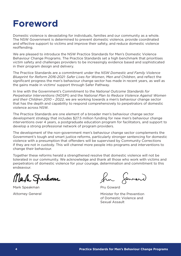# <span id="page-3-0"></span>**Foreword**

Domestic violence is devastating for individuals, families and our community as a whole. The NSW Government is determined to prevent domestic violence, provide coordinated and effective support to victims and improve their safety, and reduce domestic violence reoffending.

We are pleased to introduce the NSW Practice Standards for Men's Domestic Violence Behaviour Change Programs. The Practice Standards set a high benchmark that prioritises victim safety and challenges providers to be increasingly evidence based and sophisticated in their program design and delivery.

The Practice Standards are a commitment under the *NSW Domestic and Family Violence Blueprint for Reform 2016-2021: Safer Lives for Women, Men and Children,* and reflect the significant progress the men's behaviour change sector has made in recent years, as well as the gains made in victims' support through Safer Pathway.

In line with the Government's Commitment to the *National Outcome Standards for Perpetrator Interventions* (NOSPI) and the *National Plan to Reduce Violence Against Women and their Children 2010 – 2022*, we are working towards a men's behaviour change sector that has the depth and capability to respond comprehensively to perpetrators of domestic violence across NSW.

The Practice Standards are one element of a broader men's behaviour change sector development strategy that includes \$27.5 million funding for new men's behaviour change interventions over 4 years, a postgraduate education program for facilitators, and support to develop a strong professional network of program providers.

The development of the non-government men's behaviour change sector complements the Government's tough and smart justice reforms, particularly stronger sentencing for domestic violence with a presumption that offenders will be supervised by Community Corrections if they are not in custody. This will channel more people into programs and interventions to change their behaviour.

Together these reforms herald a strengthened resolve that domestic violence will not be tolerated in our community. We acknowledge and thank all those who work with victims and perpetrators of domestic violence for your courage, determination and commitment to this endeavour.

Mark Speakmar

Mark Speakman Attorney General

from Jeward

Pru Goward

Minister for the Prevention of Domestic Violence and Sexual Assault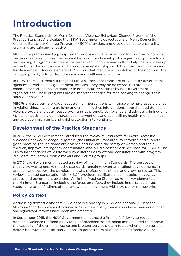# <span id="page-4-0"></span>**Introduction**

The Practice Standards for Men's Domestic Violence Behaviour Change Programs (the Practice Standards) articulate the NSW Government's expectations of Men's Domestic Violence Behaviour Change Program (MBCP) providers and give guidance to ensure that programs are safe and effective.

MBCPs are predominantly group-based programs and services that focus on working with perpetrators to recognise their violent behaviour and develop strategies to stop them from reoffending. Programs aim to ensure perpetrators acquire new skills to help them to develop respectful and non-coercive, and non-abusive relationships with their partners, children and family members. A core element of MBCPs is that men are accountable for their actions. The principal priority is to protect the safety and wellbeing of victims.

In NSW, there is currently a range of MBCPs. These programs are provided by government agencies as well as non-government services. They may be delivered in custodial or community correctional settings, or in non-statutory settings by non-government organisations. These programs are an important service for men seeking to change their abusive behaviour.

MBCPs are also part a broader spectrum of interventions with those who have used violence in relationships, including policing and criminal justice interventions, apprehended domestic violence orders and court based programs to promote compliance and address criminogenic risks and needs, individual therapeutic interventions and counselling, health, mental health and addiction programs, and child protection interventions.

## **Development of the Practice Standards**

In 2012, the NSW Government introduced the *Minimum Standards for Men's Domestic Violence Behaviour Change Programs* (the Minimum Standards) to establish and support good practice, reduce domestic violence and increase the safety of women and their children, improve interagency coordination, and build a better evidence base for MBCPs. The Minimum Standards were informed by a literature review and consultations with program providers, facilitators, policy-makers and victims groups.

In 2016, the Government initiated a review of the Minimum Standards. The purpose of the review was to ensure that the standards remain relevant and reflect developments in practice, and support the development of a professional, ethical and growing sector. This review included consultation with MBCP providers, facilitators, peak bodies, advocacy groups and government agencies. While the Practice Standards retain key elements of the Minimum Standards, including the focus on safety, they include important changes responding to the findings of the review and in alignment with new policy frameworks.

### **Policy context**

Addressing domestic and family violence is a priority in NSW and nationally. Since the Minimum Standards were introduced in 2012, new policy frameworks have been announced and significant reforms have been implemented.

In September 2015, the NSW Government announced a Premier's Priority to reduce domestic violence reoffending. A range of mechanisms are being implemented to improve the capacity of the criminal justice and broader service system to apprehend, monitor and deliver behaviour change interventions to perpetrators of domestic and family violence.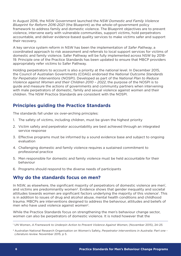<span id="page-5-0"></span>In August 2016, the NSW Government launched the *NSW Domestic and Family Violence Blueprint for Reform 2016-2021* (the Blueprint) as the whole-of-government policy framework to address family and domestic violence. The Blueprint objectives are to prevent violence, intervene early with vulnerable communities, support victims, hold perpetrators accountable, and deliver evidence-based quality services to make victims safer and support their recovery.

A key service system reform in NSW has been the implementation of *Safer Pathway*, a coordinated approach to risk assessment and referrals to local support services for victims of domestic and family violence. Safer Pathway will be fully implemented across NSW by 2018- 19. Principle one of the Practice Standards has been updated to ensure that MBCP providers appropriately refer victims to Safer Pathway.

Holding perpetrators to account is also a priority at the national level. In December 2015, the Council of Australian Governments (COAG) endorsed the *National Outcome Standards for Perpetrator Interventions* (NOSPI). Developed as part of the *National Plan to Reduce Violence against Women and their Children 2010 – 2022*, the purpose of the NOSPI is to guide and measure the actions of governments and community partners when intervening with male perpetrators of domestic, family and sexual violence against women and their children. The NSW Practice Standards are consistent with the NOSPI.

## **Principles guiding the Practice Standards**

The standards fall under six over-arching principles:

- 1. The safety of victims, including children, must be given the highest priority
- 2. Victim safety and perpetrator accountability are best achieved through an integrated service response
- 3. Effective programs must be informed by a sound evidence base and subject to ongoing evaluation
- 4. Challenging domestic and family violence requires a sustained commitment to professional practice
- 5. Men responsible for domestic and family violence must be held accountable for their behaviour
- 6. Programs should respond to the diverse needs of participants

## **Why do the standards focus on men?**

In NSW, as elsewhere, the significant majority of perpetrators of domestic violence are men<sup>1</sup>, and victims are predominantly women<sup>2</sup>. Evidence shows that gender inequality and societal attitudes towards women are significant factors underlying the majority of this violence<sup>1</sup>. This is in addition to issues of drug and alcohol abuse, mental health conditions and childhood trauma. MBCPs are interventions designed to address the behaviour, attitudes and beliefs of men who have used violence against women<sup>2</sup>.

While the Practice Standards focus on strengthening the men's behaviour change sector, women can also be perpetrators of domestic violence. It is noted however that the

<sup>1</sup> UN Women, *A Framework to Underpin Action to Prevent Violence Against Women*, (November 2015), 24–25

<sup>2</sup> Australian National Research Organisation on Women's Safety, *Perpetrator interventions in Australia: Part one - Literature review*. November 2015, p 5.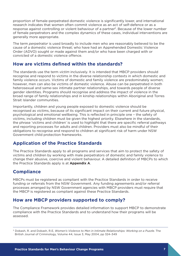<span id="page-6-0"></span>proportion of female-perpetrated domestic violence is significantly lower, and international research indicates that women often commit violence as an act of self-defence or as a response against controlling or violent behaviour of a partner<sup>3</sup>. Because of the lower number of female perpetrators and the complex dynamics of these cases, individual interventions are generally more appropriate.

The term *perpetrator* is used broadly to include men who are reasonably believed to be the cause of a domestic violence threat; who have had an Apprehended Domestic Violence Order (ADVO) sought or made against them and/or who have been charged with or convicted of a domestic violence offence.

## **How are victims defined within the standards?**

The standards use the term *victim* inclusively. It is intended that MBCP providers should recognise and respond to victims in the diverse relationship contexts in which domestic and family violence occurs. Victims of domestic and family violence are predominately women; however, men can also be victims of domestic violence. Abuse can be perpetrated in both heterosexual and same-sex intimate partner relationships, and towards people of diverse gender identities. Programs should recognise and address the impact of violence in the broad range of family relationships and in kinship relationships within Aboriginal and Torres Strait Islander communities.

Importantly, children and young people exposed to domestic violence should be recognised as victims, because of its significant impact on their current and future physical, psychological and emotional wellbeing. This is reflected in principle one – the safety of victims, including children must be given the highest priority. Elsewhere in the standards, the phrase 'victims and children' is used to highlight that there are specific referral pathways and reporting processes for adults and children. Providers must also be mindful of their obligations to recognise and respond to children at significant risk of harm under NSW Government child protection frameworks.

# **Application of the Practice Standards**

The Practice Standards apply to all programs and services that aim to protect the safety of victims and children by working with male perpetrators of domestic and family violence to change their abusive, coercive and violent behaviour. A detailed definition of MBCPs to which the Practice Standards apply is at **Appendix A**.

## **Compliance**

MBCPs must be registered as compliant with the Practice Standards in order to receive funding or referrals from the NSW Government. Any funding agreements and/or referral processes arranged by NSW Government agencies with MBCP providers must require that the MBCP is registered as compliant against these Practice Standards.

### **How are MBCP providers supported to comply?**

The Compliance Framework provides detailed information to support MBCP to demonstrate compliance with the Practice Standards and to understand how their programs will be assessed.

<sup>3</sup> Dobash, R. and Dobash, R.E, *Women's Violence to Men in Intimate Relationships: Working on a Puzzle*. The British Journal of Criminology, Volume 44, Issue 3, May 2004, pp 324–349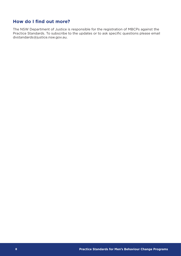## <span id="page-7-0"></span>**How do I find out more?**

The NSW Department of Justice is responsible for the registration of MBCPs against the Practice Standards. To subscribe to the updates or to ask specific questions please email dvstandards@justice.nsw.gov.au.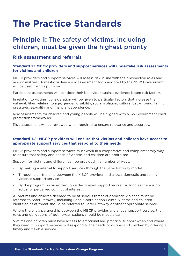# <span id="page-8-0"></span>**The Practice Standards**

# **Principle 1:** The safety of victims, including children, must be given the highest priority

### Risk assessment and referrals

#### **Standard 1.1 MBCP providers and support services will undertake risk assessments for victims and children**

MBCP providers and support services will assess risk in line with their respective roles and responsibilities. Domestic violence risk assessment tools adopted by the NSW Government will be used for this purpose.

Participant assessments will consider their behaviour against evidence-based risk factors.

In relation to victims, consideration will be given to particular factors that increase their vulnerabilities relating to age, gender, disability, social isolation, cultural background, family pressures, sexuality and financial dependence.

Risk assessments for children and young people will be aligned with NSW Government child protection frameworks.

Risk assessment will be reviewed when required to ensure relevance and accuracy.

#### **Standard 1.2: MBCP providers will ensure that victims and children have access to appropriate support services that respond to their needs**

MBCP providers and support services must work in a cooperative and complementary way to ensure that safety and needs of victims and children are prioritised.

Support for victims and children can be provided in a number of ways:

- By making a referral to support services through the Safer Pathway model
- Through a partnership between the MBCP provider and a local domestic and family violence support service
- By the program provider through a designated support worker, so long as there is no actual or perceived conflict of interest

All victims and children deemed to be at serious threat of domestic violence must be referred to Safer Pathway, including Local Coordination Points. Victims and children identified as at threat should be referred to Safer Pathway or other appropriate service.

Where there is a partnership between the MBCP provider and a local support service, the roles and obligations of both organisations should be made clear.

Victims and children must have access to emotional and practical support when and where they need it. Support services will respond to the needs of victims and children by offering a timely and flexible service.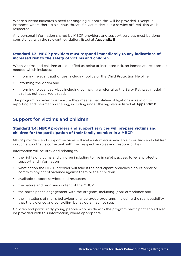Where a victim indicates a need for ongoing support, this will be provided. Except in instances where there is a serious threat, if a victim declines a service offered, this will be respected.

Any personal information shared by MBCP providers and support services must be done consistently with the relevant legislation, listed at **Appendix B**.

#### **Standard 1.3: MBCP providers must respond immediately to any indications of increased risk to the safety of victims and children**

When victims and children are identified as being at increased risk, an immediate response is needed which includes:

- Informing relevant authorities, including police or the Child Protection Helpline
- Informing the victim and
- Informing relevant services including by making a referral to the Safer Pathway model, if this has not occurred already

The program provider must ensure they meet all legislative obligations in relation to reporting and information sharing, including under the legislation listed at **Appendix B**.

### Support for victims and children

#### **Standard 1.4: MBCP providers and support services will prepare victims and children for the participation of their family member in a MBCP**

MBCP providers and support services will make information available to victims and children in such a way that is consistent with their respective roles and responsibilities.

Information will be provided relating to:

- the rights of victims and children including to live in safety, access to legal protection, support and information
- what action the MBCP provider will take if the participant breaches a court order or commits any act of violence against them or their children
- available support services and resources
- the nature and program content of the MBCP
- the participant's engagement with the program, including (non) attendance and
- the limitations of men's behaviour change group programs, including the real possibility that the violence and controlling behaviours may not stop

Children and particularly young people who reside with the program participant should also be provided with this information, where appropriate.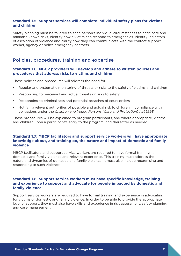#### **Standard 1.5: Support services will complete individual safety plans for victims and children**

Safety planning must be tailored to each person's individual circumstances to anticipate and minimise known risks, identify how a victim can respond to emergencies, identify indicators of escalation of violence and clarify how they can communicate with the contact support worker, agency or police emergency contacts.

### Policies, procedures, training and expertise

#### **Standard 1.6: MBCP providers will develop and adhere to written policies and procedures that address risks to victims and children**

These policies and procedures will address the need for:

- Regular and systematic monitoring of threats or risks to the safety of victims and children
- Responding to perceived and actual threats or risks to safety
- Responding to criminal acts and potential breaches of court orders
- Notifying relevant authorities of possible and actual risk to children in compliance with obligations under the *Children and Young Persons (Care and Protection) Act 1998*

These procedures will be explained to program participants, and where appropriate, victims and children upon a participant's entry to the program, and thereafter as needed.

#### **Standard 1.7: MBCP facilitators and support service workers will have appropriate knowledge about, and training on, the nature and impact of domestic and family violence**

MBCP facilitators and support service workers are required to have formal training in domestic and family violence and relevant experience. This training must address the nature and dynamics of domestic and family violence. It must also include recognising and responding to such violence.

#### **Standard 1.8: Support service workers must have specific knowledge, training and experience to support and advocate for people impacted by domestic and family violence**

Support service workers are required to have formal training and experience in advocating for victims of domestic and family violence. In order to be able to provide the appropriate level of support, they must also have skills and experience in risk assessment, safety planning and case management.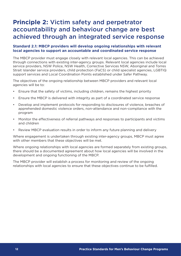# <span id="page-11-0"></span>**Principle 2:** Victim safety and perpetrator accountability and behaviour change are best achieved through an integrated service response

#### **Standard 2.1: MBCP providers will develop ongoing relationships with relevant local agencies to support an accountable and coordinated service response**

The MBCP provider must engage closely with relevant local agencies. This can be achieved through connections with existing inter-agency groups. Relevant local agencies include local service providers, NSW Police, NSW Health, Corrective Services NSW, Aboriginal and Torres Strait Islander service providers, child protection (FaCS) or child specialist agencies, LGBTIQ support services and Local Coordination Points established under Safer Pathway.

The objectives of the ongoing relationship between MBCP providers and relevant local agencies will be to:

- Ensure that the safety of victims, including children, remains the highest priority
- Ensure the MBCP is delivered with integrity as part of a coordinated service response
- Develop and implement protocols for responding to disclosures of violence, breaches of apprehended domestic violence orders, non-attendance and non-compliance with the program
- Monitor the effectiveness of referral pathways and responses to participants and victims and children
- Review MBCP evaluation results in order to inform any future planning and delivery

Where engagement is undertaken through existing inter-agency groups, MBCP must agree with other members that these objectives will be met.

Where ongoing relationships with local agencies are formed separately from existing groups, there should be a documented agreement about how local agencies will be involved in the development and ongoing functioning of the MBCP.

The MBCP provider will establish a process for monitoring and review of the ongoing relationships with local agencies to ensure that these objectives continue to be fulfilled.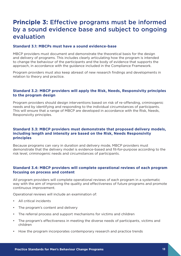# <span id="page-12-0"></span>**Principle 3:** Effective programs must be informed by a sound evidence base and subject to ongoing evaluation

#### **Standard 3.1: MBCPs must have a sound evidence-base**

MBCP providers must document and demonstrate the theoretical basis for the design and delivery of programs. This includes clearly articulating how the program is intended to change the behaviour of the participants and the body of evidence that supports the approach, in accordance with the guidance included in the Compliance Framework.

Program providers must also keep abreast of new research findings and developments in relation to theory and practice.

#### **Standard 3.2: MBCP providers will apply the Risk, Needs, Responsivity principles to the program design**

Program providers should design interventions based on risk of re-offending, criminogenic needs and by identifying and responding to the individual circumstances of participants. This will ensure that a range of MBCP are developed in accordance with the Risk, Needs, Responsivity principles.

#### **Standard 3.3: MBCP providers must demonstrate that proposed delivery models, including length and intensity are based on the Risk, Needs Responsivity principles**

Because programs can vary in duration and delivery mode, MBCP providers must demonstrate that the delivery model is evidence-based and fit-for-purpose according to the risk level, criminogenic needs and circumstances of participants.

#### **Standard 3.4: MBCP providers will complete operational reviews of each program focusing on process and content**

All program providers will complete operational reviews of each program in a systematic way with the aim of improving the quality and effectiveness of future programs and promote continuous improvement.

Operational reviews will include an examination of:

- All critical incidents
- The program's content and delivery
- The referral process and support mechanisms for victims and children
- The program's effectiveness in meeting the diverse needs of participants, victims and children
- How the program incorporates contemporary research and practice trends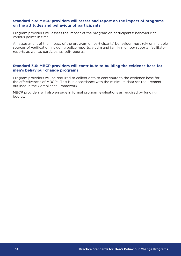#### **Standard 3.5: MBCP providers will assess and report on the impact of programs on the attitudes and behaviour of participants**

Program providers will assess the impact of the program on participants' behaviour at various points in time.

An assessment of the impact of the program on participants' behaviour must rely on multiple sources of verification including police reports, victim and family member reports, facilitator reports as well as participants' self-reports.

#### **Standard 3.6: MBCP providers will contribute to building the evidence base for men's behaviour change programs**

Program providers will be required to collect data to contribute to the evidence base for the effectiveness of MBCPs. This is in accordance with the minimum data set requirement outlined in the Compliance Framework.

MBCP providers will also engage in formal program evaluations as required by funding bodies.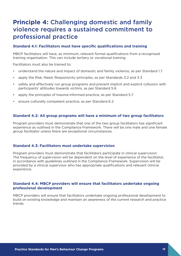# <span id="page-14-0"></span>**Principle 4:** Challenging domestic and family violence requires a sustained commitment to professional practice

#### **Standard 4.1: Facilitators must have specific qualifications and training**

MBCP facilitators will have, as minimum, relevant formal qualifications from a recognised training organisation. This can include tertiary or vocational training.

Facilitators must also be trained to:

- understand the nature and impact of domestic and family violence, as per Standard 1.7
- apply the Risk, Need, Responsivity principles, as per Standards 3.2 and 3.3
- safely and effectively run group programs and prevent implicit and explicit collusion with participants' attitudes towards victims, as per Standard 5.6
- apply the principles of trauma-informed practice, as per Standard 5.7
- ensure culturally competent practice, as per Standard 6.2

#### **Standard 4.2: All group programs will have a minimum of two group facilitators**

Program providers must demonstrate that one of the two group facilitators has significant experience as outlined in the Compliance Framework. There will be one male and one female group facilitator unless there are exceptional circumstances.

#### **Standard 4.3: Facilitators must undertake supervision**

Program providers must demonstrate that facilitators participate in clinical supervision. The frequency of supervision will be dependent on the level of experience of the facilitator, in accordance with guidelines outlined in the Compliance Framework. Supervision will be provided by a clinical supervisor who has appropriate qualifications and relevant clinical experience.

#### **Standard 4.4: MBCP providers will ensure that facilitators undertake ongoing professional development**

MBCP providers will ensure that facilitators undertake ongoing professional development to build on existing knowledge and maintain an awareness of the current research and practice trends.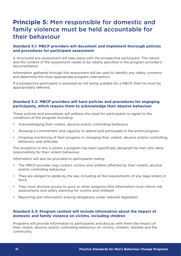# <span id="page-15-0"></span>**Principle 5:** Men responsible for domestic and family violence must be held accountable for their behaviour

#### **Standard 5.1: MBCP providers will document and implement thorough policies and procedures for participant assessment**

A structured pre-assessment will take place with the prospective participant. The nature and the content of the assessment needs to be clearly specified in the program provider's documentation.

Information gathered through the assessment will be used to identify any safety concerns and determine the most appropriate program intervention.

If a prospective participant is assessed as not being suitable for a MBCP, then he must be appropriately referred.

#### **Standard 5.2: MBCP providers will have policies and procedures for engaging participants, which require them to acknowledge their abusive behaviour**

These policies and procedures will address the need for participants to agree to the conditions of the program including:

- Acknowledging their violent, abusive and/or controlling behaviour
- Showing a commitment and capacity to attend and participate in the entire program
- Ongoing monitoring of their progress in changing their violent, abusive and/or controlling, behaviour and attitudes

The exception to this is where a program has been specifically designed for men who deny responsibility for their violent behaviour.

Information will also be provided to participants noting:

- The MBCP provider may contact victims and children affected by their violent, abusive and/or controlling behaviour
- They are obliged to abide by the law, including all the requirements of any legal orders in force
- They must disclose access to guns or other weapons (this information must inform risk assessments and safety planning for victims and children)
- Reporting and information sharing obligations under relevant legislation

#### **Standard 5.3: Program content will include information about the impact of domestic and family violence on victims, including children**

Programs will provide information to participants and discuss with them the impact of their violent, abusive and/or controlling behaviour on victims, children, families and the community.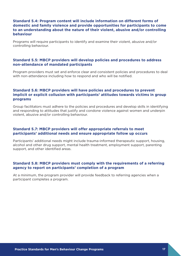#### **Standard 5.4: Program content will include information on different forms of domestic and family violence and provide opportunities for participants to come to an understanding about the nature of their violent, abusive and/or controlling behaviour**

Programs will require participants to identify and examine their violent, abusive and/or controlling behaviour.

#### **Standard 5.5: MBCP providers will develop policies and procedures to address non-attendance of mandated participants**

Program providers must set and enforce clear and consistent policies and procedures to deal with non-attendance including how to respond and who will be notified.

#### **Standard 5.6: MBCP providers will have policies and procedures to prevent implicit or explicit collusion with participants' attitudes towards victims in group programs**

Group facilitators must adhere to the policies and procedures and develop skills in identifying and responding to attitudes that justify and condone violence against women and underpin violent, abusive and/or controlling behaviour.

#### **Standard 5.7: MBCP providers will offer appropriate referrals to meet participants' additional needs and ensure appropriate follow up occurs**

Participants' additional needs might include trauma-informed therapeutic support, housing, alcohol and other drug support, mental health treatment, employment support, parenting support, and other identified areas.

#### **Standard 5.8: MBCP providers must comply with the requirements of a referring agency to report on participants' completion of a program**

At a minimum, the program provider will provide feedback to referring agencies when a participant completes a program.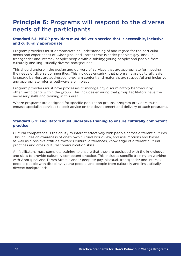# <span id="page-17-0"></span>**Principle 6:** Programs will respond to the diverse needs of the participants

#### **Standard 6.1: MBCP providers must deliver a service that is accessible, inclusive and culturally appropriate**

Program providers must demonstrate an understanding of and regard for the particular needs and experiences of: Aboriginal and Torres Strait Islander peoples; gay, bisexual, transgender and intersex people; people with disability; young people; and people from culturally and linguistically diverse backgrounds.

This should underpin the design and delivery of services that are appropriate for meeting the needs of diverse communities. This includes ensuring that programs are culturally safe, language barriers are addressed, program content and materials are respectful and inclusive and appropriate referral pathways are in place.

Program providers must have processes to manage any discriminatory behaviour by other participants within the group. This includes ensuring that group facilitators have the necessary skills and training in this area.

Where programs are designed for specific population groups, program providers must engage specialist services to seek advice on the development and delivery of such programs.

#### **Standard 6.2: Facilitators must undertake training to ensure culturally competent practice**

Cultural competence is the ability to interact effectively with people across different cultures. This includes an awareness of one's own cultural worldview, and assumptions and biases, as well as a positive attitude towards cultural differences, knowledge of different cultural practices and cross-cultural communication skills.

All facilitators must complete training to ensure that they are equipped with the knowledge and skills to provide culturally competent practice. This includes specific training on working with Aboriginal and Torres Strait Islander peoples; gay, bisexual, transgender and intersex people; people with disability; young people; and people from culturally and linguistically diverse backgrounds.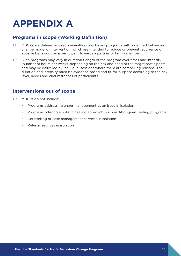# <span id="page-18-0"></span>**APPENDIX A**

## **Programs in scope (Working Definition)**

- 1.1 MBCPs are defined as predominantly group based programs with a defined behaviour change model of intervention, which are intended to reduce or prevent recurrence of abusive behaviour by a participant towards a partner or family member.
- 1.2 Such programs may vary in duration (length of the program over time) and intensity (number of hours per week), depending on the risk and need of the target participants, and may be delivered by individual sessions where there are compelling reasons. The duration and intensity must be evidence-based and fit-for-purpose according to the risk level, needs and circumstances of participants.

## **Interventions out of scope**

- 1.3 MBCPs do not include:
	- Programs addressing anger management as an issue in isolation
	- Programs offering a holistic healing approach, such as Aboriginal Healing programs
	- Counselling or case management services in isolation
	- Referral services in isolation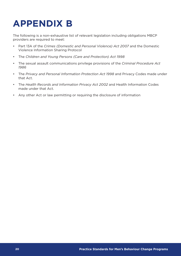# <span id="page-19-0"></span>**APPENDIX B**

The following is a non-exhaustive list of relevant legislation including obligations MBCP providers are required to meet:

- Part 13A of the *Crimes (Domestic and Personal Violence) Act 2007* and the Domestic Violence Information Sharing Protocol
- The *Children and Young Persons (Care and Protection) Act 1998*
- The sexual assault communications privilege provisions of the *Criminal Procedure Act 1986*
- The *Privacy and Personal Information Protection Act 1998* and Privacy Codes made under that Act.
- The *Health Records and Information Privacy Act 2002* and Health Information Codes made under that Act.
- Any other Act or law permitting or requiring the disclosure of information